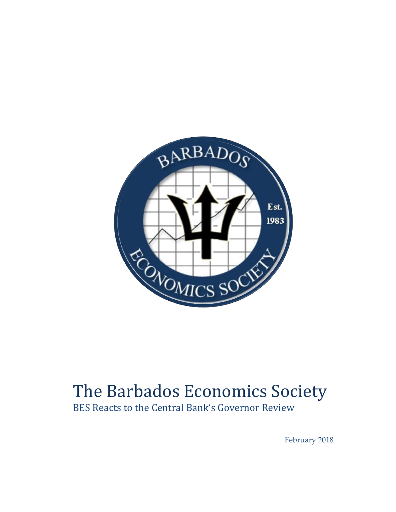

## The Barbados Economics Society

BES Reacts to the Central Bank's Governor Review

February 2018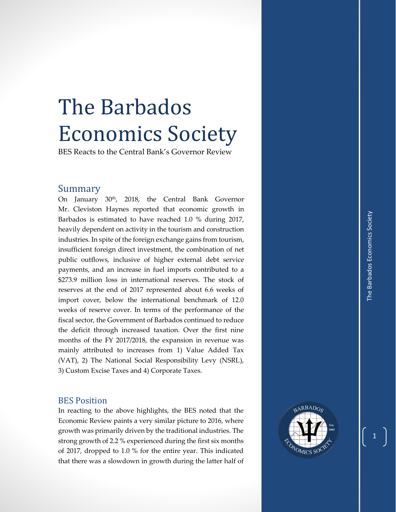## The Barbados Economics Society

BES Reacts to the Central Bank's Governor Review

## Summary

On January 30<sup>th</sup>, 2018, the Central Bank Governor Mr. Cleviston Haynes reported that economic growth in Barbados is estimated to have reached 1.0 % during 2017, heavily dependent on activity in the tourism and construction industries. In spite of the foreign exchange gains from tourism , insufficient foreign direct investment, the combination of net public outflows, inclusive of higher external debt service payments , and an increase in fuel imports contributed to a \$273.9 million loss in international reserves. The stock of reserves at the end of 2017 represented about 6.6 weeks of import cover, below the international benchmark of 12.0 weeks of reserve cover. In terms of the performance of the fiscal sector, the Government of Barbados continued to reduce the deficit through increased taxation. Over the first nine months of the FY 201 7/201 8, the expansion in revenue was mainly attributed to increases from 1) Value Added Tax (VAT), 2) The National Social Responsibility Levy (NSRL ) , 3) Custom Excise Taxes and 4) Corporate Taxes .

## BES Position

In reacting to the above highlights, the BES noted that the Economic Review paints a very similar picture to 2016, where growth was primarily driven by the traditional industries. The strong growth of 2.2 % experienced during the first six months of 2017, dropped to 1.0 % for the entire year. This indicated that there was a slowdown in growth during the latter half of